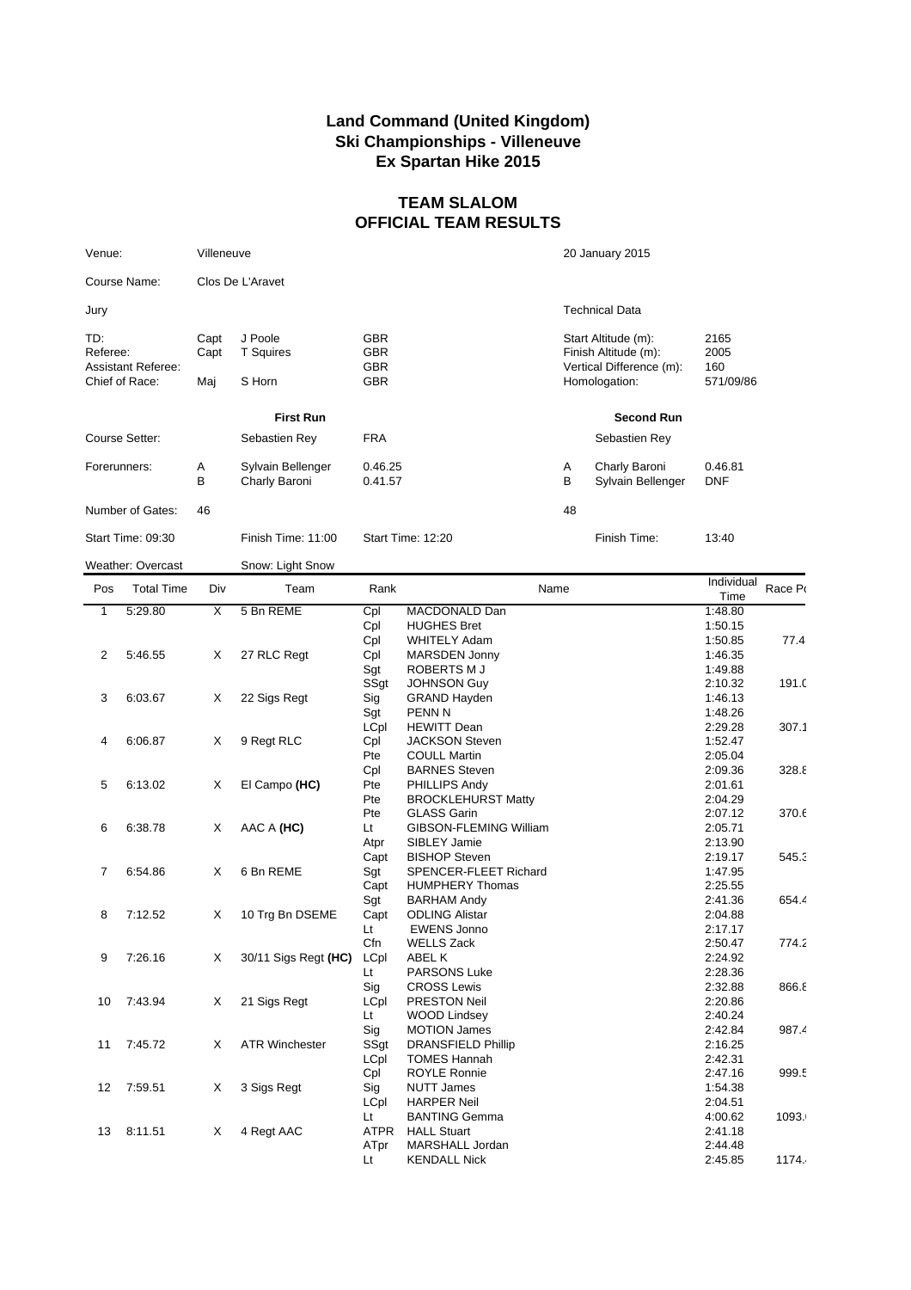## **Land Command (United Kingdom) Ski Championships - Villeneuve Ex Spartan Hike 2015**

## **TEAM SLALOM OFFICIAL TEAM RESULTS**

| Venue:                                                         | Villeneuve          |                                       |                                                      |                   | 20 January 2015                                                                          |                                  |  |
|----------------------------------------------------------------|---------------------|---------------------------------------|------------------------------------------------------|-------------------|------------------------------------------------------------------------------------------|----------------------------------|--|
| Course Name:                                                   |                     | Clos De L'Aravet                      |                                                      |                   |                                                                                          |                                  |  |
| Jury                                                           |                     |                                       |                                                      |                   | <b>Technical Data</b>                                                                    |                                  |  |
| TD:<br>Referee:<br><b>Assistant Referee:</b><br>Chief of Race: | Capt<br>Capt<br>Maj | J Poole<br><b>T</b> Squires<br>S Horn | <b>GBR</b><br><b>GBR</b><br><b>GBR</b><br><b>GBR</b> |                   | Start Altitude (m):<br>Finish Altitude (m):<br>Vertical Difference (m):<br>Homologation: | 2165<br>2005<br>160<br>571/09/86 |  |
| <b>First Run</b>                                               |                     |                                       |                                                      | <b>Second Run</b> |                                                                                          |                                  |  |
| Course Setter:                                                 |                     | Sebastien Rey                         | <b>FRA</b>                                           |                   | Sebastien Rey                                                                            |                                  |  |
| Forerunners:                                                   | Α<br>B              | Sylvain Bellenger<br>Charly Baroni    | 0.46.25<br>0.41.57                                   | Α<br>В            | Charly Baroni<br>Sylvain Bellenger                                                       | 0.46.81<br><b>DNF</b>            |  |
| Number of Gates:                                               | 46                  |                                       |                                                      | 48                |                                                                                          |                                  |  |
| Start Time: 09:30                                              |                     | Finish Time: 11:00                    | Start Time: 12:20                                    |                   | Finish Time:                                                                             | 13:40                            |  |
| <b>Weather: Overcast</b>                                       |                     | Snow: Light Snow                      |                                                      |                   |                                                                                          |                                  |  |

| Pos          | <b>Total Time</b> | Div            | Team                  | Rank        | Name                      | Individual<br>Time | Race Po |
|--------------|-------------------|----------------|-----------------------|-------------|---------------------------|--------------------|---------|
| $\mathbf{1}$ | 5:29.80           | $\overline{X}$ | 5 Bn REME             | Cpl         | <b>MACDONALD Dan</b>      | 1:48.80            |         |
|              |                   |                |                       | Cpl         | <b>HUGHES Bret</b>        | 1:50.15            |         |
|              |                   |                |                       | Cpl         | <b>WHITELY Adam</b>       | 1:50.85            | 77.4    |
| 2            | 5:46.55           | X              | 27 RLC Regt           | Cpl         | <b>MARSDEN Jonny</b>      | 1:46.35            |         |
|              |                   |                |                       | Sgt         | ROBERTS M J               | 1:49.88            |         |
|              |                   |                |                       | SSgt        | JOHNSON Guy               | 2:10.32            | 191.C   |
| 3            | 6:03.67           | X              | 22 Sigs Regt          | Sig         | <b>GRAND Hayden</b>       | 1:46.13            |         |
|              |                   |                |                       | Sgt         | <b>PENN N</b>             | 1:48.26            |         |
|              |                   |                |                       | LCpl        | <b>HEWITT Dean</b>        | 2:29.28            | 307.1   |
| 4            | 6:06.87           | X              | 9 Regt RLC            | Cpl         | <b>JACKSON Steven</b>     | 1:52.47            |         |
|              |                   |                |                       | Pte         | <b>COULL Martin</b>       | 2:05.04            |         |
|              |                   |                |                       | Cpl         | <b>BARNES Steven</b>      | 2:09.36            | 328.8   |
| 5            | 6:13.02           | X              | El Campo (HC)         | Pte         | PHILLIPS Andy             | 2:01.61            |         |
|              |                   |                |                       | Pte         | <b>BROCKLEHURST Matty</b> | 2:04.29            |         |
|              |                   |                |                       | Pte         | <b>GLASS Garin</b>        | 2:07.12            | 370.6   |
| 6            | 6:38.78           | Χ              | AAC A (HC)            | Lt          | GIBSON-FLEMING William    | 2:05.71            |         |
|              |                   |                |                       | Atpr        | SIBLEY Jamie              | 2:13.90            |         |
|              |                   |                |                       | Capt        | <b>BISHOP Steven</b>      | 2:19.17            | 545.3   |
| 7            | 6:54.86           | X              | 6 Bn REME             | Sgt         | SPENCER-FLEET Richard     | 1:47.95            |         |
|              |                   |                |                       | Capt        | <b>HUMPHERY Thomas</b>    | 2:25.55            |         |
|              |                   |                |                       | Sgt         | <b>BARHAM Andy</b>        | 2:41.36            | 654.4   |
| 8            | 7:12.52           | X              | 10 Trg Bn DSEME       | Capt        | <b>ODLING Alistar</b>     | 2:04.88            |         |
|              |                   |                |                       | Lt          | <b>EWENS Jonno</b>        | 2:17.17            |         |
|              |                   |                |                       | Cfn         | <b>WELLS Zack</b>         | 2:50.47            | 774.2   |
| 9            | 7:26.16           | X              | 30/11 Sigs Regt (HC)  | LCpl        | ABEL K                    | 2:24.92            |         |
|              |                   |                |                       | Lt          | <b>PARSONS Luke</b>       | 2:28.36            |         |
|              |                   |                |                       | Sig         | <b>CROSS Lewis</b>        | 2:32.88            | 866.8   |
| 10           | 7:43.94           | X              | 21 Sigs Regt          | LCpl        | <b>PRESTON Neil</b>       | 2:20.86            |         |
|              |                   |                |                       | <b>Lt</b>   | <b>WOOD Lindsey</b>       | 2:40.24            |         |
|              |                   |                |                       | Sig         | <b>MOTION James</b>       | 2:42.84            | 987.4   |
| 11           | 7:45.72           | X              | <b>ATR Winchester</b> | SSgt        | <b>DRANSFIELD Phillip</b> | 2:16.25            |         |
|              |                   |                |                       | LCpl        | <b>TOMES Hannah</b>       | 2:42.31            |         |
|              |                   |                |                       | Cpl         | <b>ROYLE Ronnie</b>       | 2:47.16            | 999.5   |
| 12           | 7:59.51           | Χ              | 3 Sigs Regt           | Sig         | <b>NUTT James</b>         | 1:54.38            |         |
|              |                   |                |                       | LCpl        | <b>HARPER Neil</b>        | 2:04.51            |         |
|              |                   |                |                       | Lt          | <b>BANTING Gemma</b>      | 4:00.62            | 1093.   |
| 13           | 8:11.51           | X              | 4 Regt AAC            | <b>ATPR</b> | <b>HALL Stuart</b>        | 2:41.18            |         |
|              |                   |                |                       | ATpr        | MARSHALL Jordan           | 2:44.48            |         |
|              |                   |                |                       | Lt          | <b>KENDALL Nick</b>       | 2:45.85            | 1174.   |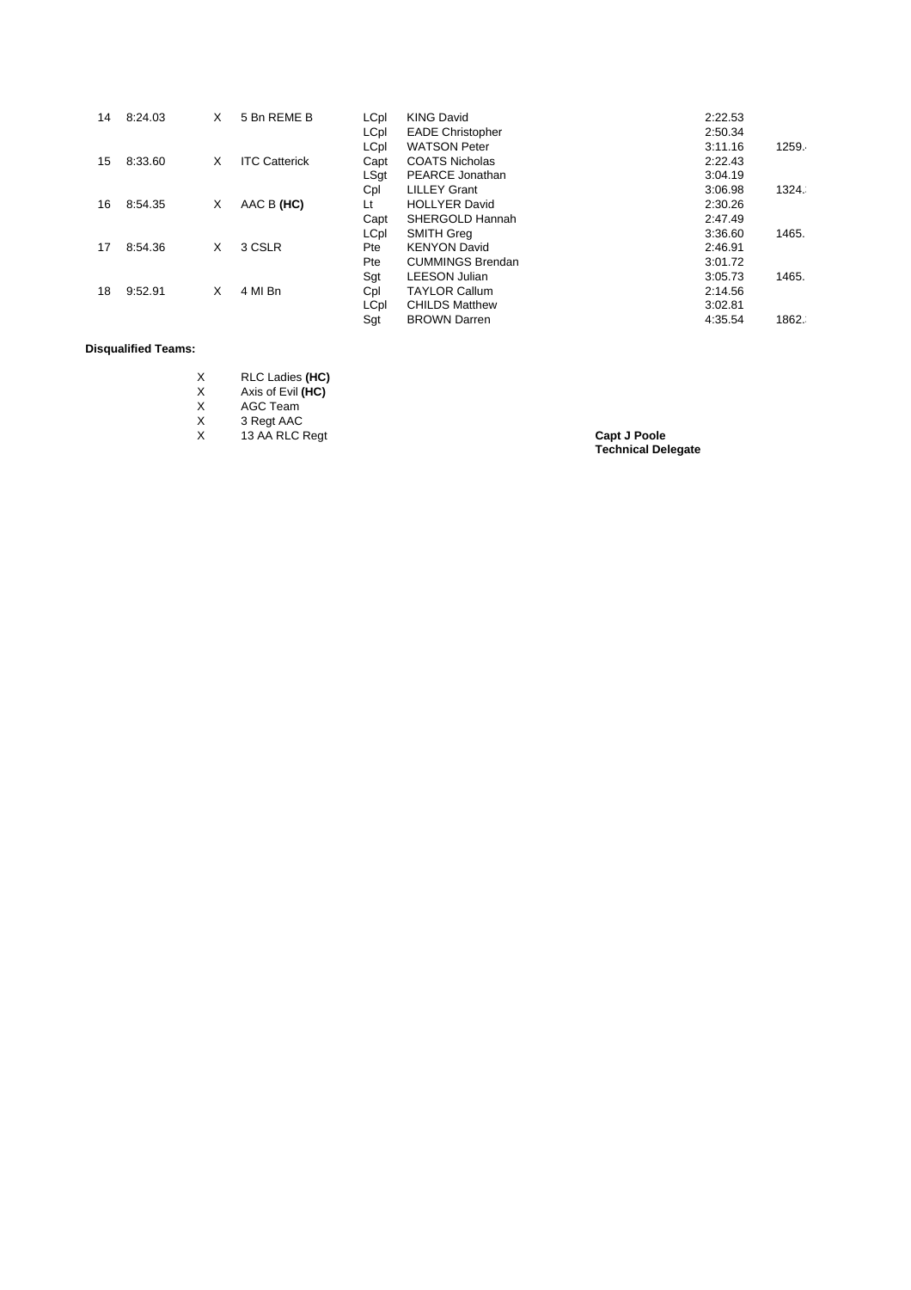| 14 | 8:24.03 | X | 5 Bn REME B          | LCpl | <b>KING David</b>       | 2:22.53 |       |
|----|---------|---|----------------------|------|-------------------------|---------|-------|
|    |         |   |                      | LCpl | <b>EADE Christopher</b> | 2:50.34 |       |
|    |         |   |                      | LCpl | <b>WATSON Peter</b>     | 3:11.16 | 1259. |
| 15 | 8:33.60 | X | <b>ITC Catterick</b> | Capt | <b>COATS Nicholas</b>   | 2:22.43 |       |
|    |         |   |                      | LSqt | <b>PEARCE Jonathan</b>  | 3:04.19 |       |
|    |         |   |                      | Cpl  | <b>LILLEY Grant</b>     | 3:06.98 | 1324. |
| 16 | 8:54.35 | X | AAC B (HC)           | Lt   | <b>HOLLYER David</b>    | 2:30.26 |       |
|    |         |   |                      | Capt | SHERGOLD Hannah         | 2:47.49 |       |
|    |         |   |                      | LCpl | <b>SMITH Greg</b>       | 3:36.60 | 1465. |
| 17 | 8:54.36 | X | 3 CSLR               | Pte  | <b>KENYON David</b>     | 2:46.91 |       |
|    |         |   |                      | Pte  | <b>CUMMINGS Brendan</b> | 3:01.72 |       |
|    |         |   |                      | Sgt  | <b>LEESON Julian</b>    | 3:05.73 | 1465. |
| 18 | 9:52.91 | X | 4 MI Bn              | Cpl  | <b>TAYLOR Callum</b>    | 2:14.56 |       |
|    |         |   |                      | LCpl | <b>CHILDS Matthew</b>   | 3:02.81 |       |
|    |         |   |                      | Sat  | <b>BROWN Darren</b>     | 4:35.54 | 1862. |

## **Disqualified Teams:**

| X | RLC Ladies (HC) |
|---|-----------------|
|   |                 |

X Axis of Evil **(HC)**

X AGC Team

X 3 Regt AAC X 13 AA RLC Regt **Capt J Poole**

**Technical Delegate**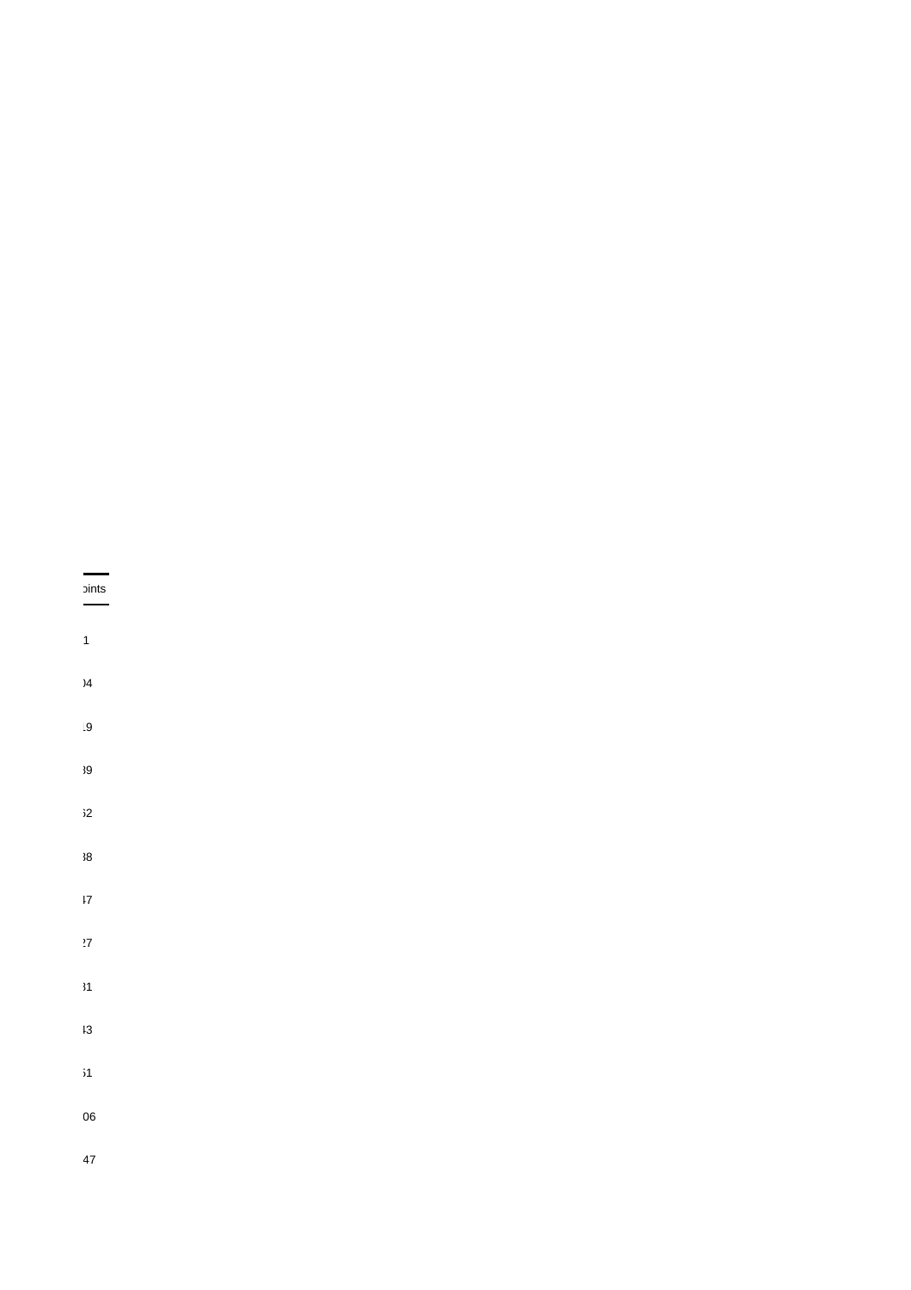## $\frac{1}{2}$

- 
- $\mathbf{1}$
- $\overline{)4}$
- $|9$
- 
- $39$
- $32$
- $\overline{\textbf{38}}$
- $\frac{17}{2}$
- $\overline{27}$
- $\overline{\mathbf{31}}$
- $13$
- $\mathbf{51}$
- 06
- $47$